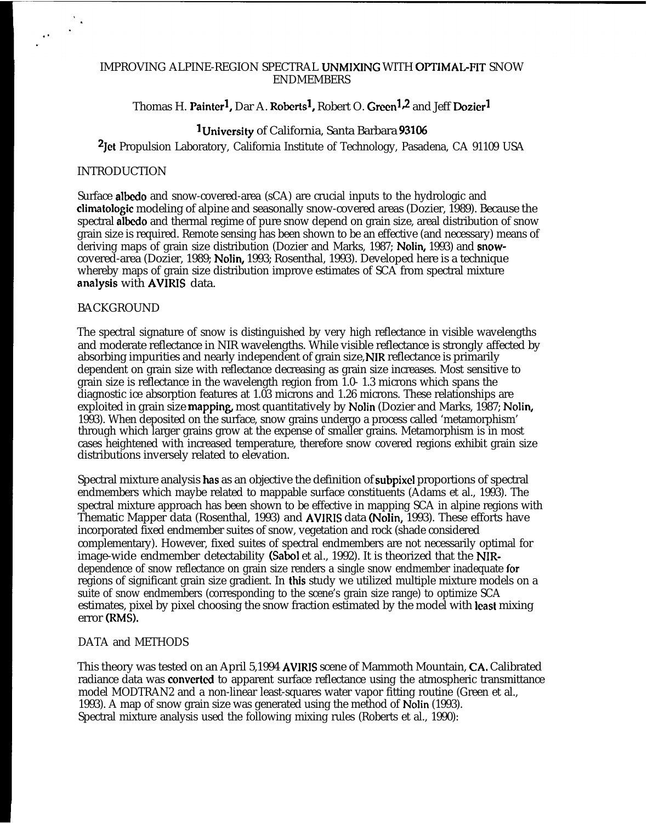## IMPROVING ALPINE-REGION SPECTRAL UNMIXING WITH OPTIMAL-FIT SNOW ENDMEMBERS

# Thomas H. Painter<sup>1</sup>, Dar A. Roberts<sup>1</sup>, Robert O. Green<sup>1,2</sup> and Jeff Dozier<sup>1</sup>

## <sup>1</sup>University of California, Santa Barbara 93106

2Jet Propulsion Laboratory, California Institute of Technology, Pasadena, CA 91109 USA

## INTRODUCTION

 $\frac{1}{\sqrt{2}}$ 

Surface albedo and snow-covered-area (sCA) are crucial inputs to the hydrologic and climatologic modeling of alpine and seasonally snow-covered areas (Dozier, 1989). Because the spectral albedo and thermal regime of pure snow depend on grain size, areal distribution of snow grain size is required. Remote sensing has been shown to be an effective (and necessary) means of deriving maps of grain size distribution (Dozier and Marks, 1987; Nolin, 1993) and snowcovered-area (Dozier, 1989; Nolin, 1993; Rosenthal, 1993). Developed here is a technique whereby maps of grain size distribution improve estimates of SCA from spectral mixture analysis with AVIRIS data.

### BACKGROUND

The spectral signature of snow is distinguished by very high reflectance in visible wavelengths and moderate reflectance in NIR wavelengths. While visible reflectance is strongly affected by absorbing impurities and nearly independent of grain size, NIR reflectance is primarily dependent on grain size with reflectance decreasing as grain size increases. Most sensitive to grain size is reflectance in the wavelength region from 1.0- 1.3 microns which spans the diagnostic ice absorption features at 1.03 microns and 1.26 microns. These relationships are exploited in grain size mapping, most quantitatively by Nolin (Dozier and Marks, 1987; Nolin, 1993). When deposited on the surface, snow grains undergo a process called 'metamorphism' through which larger grains grow at the expense of smaller grains. Metamorphism is in most cases heightened with increased temperature, therefore snow covered regions exhibit grain size distributions inversely related to elevation.

Spectral mixture analysis has as an objective the definition of subpixel proportions of spectral endmembers which maybe related to mappable surface constituents (Adams et al., 1993). The spectral mixture approach has been shown to be effective in mapping SCA in alpine regions with Thematic Mapper data (Rosenthal, 1993) and AVIRIS data (Nolin, 1993). These efforts have incorporated fixed endmember suites of snow, vegetation and rock (shade considered complementary). However, fixed suites of spectral endmembers are not necessarily optimal for image-wide endmember detectability (Sabol et al., 1992). It is theorized that the NIRdependence of snow reflectance on grain size renders a single snow endmember inadequate for regions of significant grain size gradient. In this study we utilized multiple mixture models on a suite of snow endmembers (corresponding to the scene's grain size range) to optimize SCA estimates, pixel by pixel choosing the snow fraction estimated by the model with least mixing error (RMS).

#### DATA and METHODS

This theory was tested on an April 5,1994 AVIRIS scene of Mammoth Mountain, CA. Calibrated radiance data was **converted** to apparent surface reflectance using the atmospheric transmittance model MODTRAN2 and a non-linear least-squares water vapor fitting routine (Green et al., 1993). A map of snow grain size was generated using the method of Nolin (1993). Spectral mixture analysis used the following mixing rules (Roberts et al., 1990):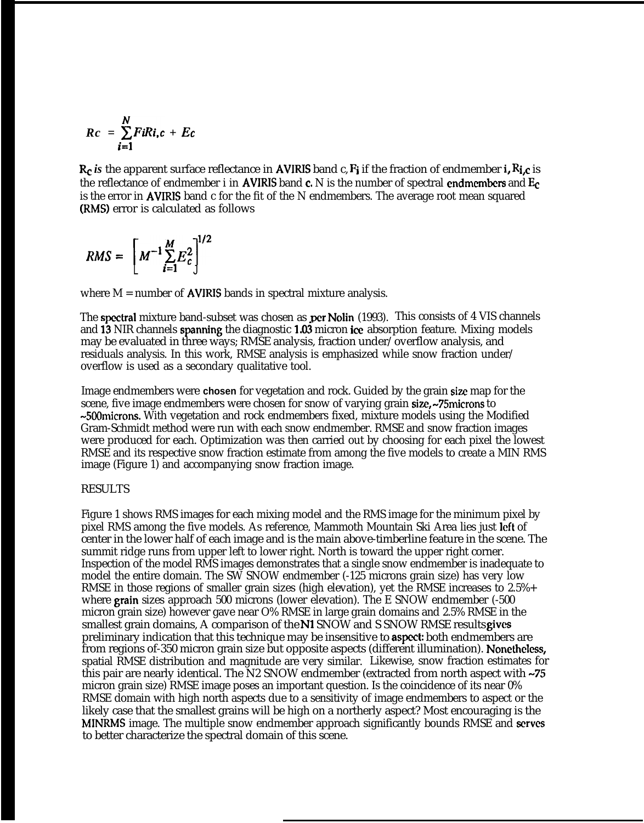$$
Rc = \sum_{i=1}^{N} FiRi, c + Ec
$$

 $R_c$  *is* the apparent surface reflectance in **AVIRIS** band c, F<sub>i</sub> if the fraction of endmember **i**, R<sub>i,C</sub> is the reflectance of endmember i in AVIRIS band c. N is the number of spectral endmembers and  $E_c$ is the error in AVIRIS band c for the fit of the N endmembers. The average root mean squared (RMS) error is calculated as follows

$$
RMS = \left[ M^{-1} \sum_{i=1}^{M} E_c^2 \right]^{1/2}
$$

where  $M =$  number of **AVIRIS** bands in spectral mixture analysis.

The spectral mixture band-subset was chosen as per Nolin (1993). This consists of 4 VIS channels and 13 NIR channels spanning the diagnostic 1.03 micron ice absorption feature. Mixing models may be evaluated in three ways; RMSE analysis, fraction under/overflow analysis, and residuals analysis. In this work, RMSE analysis is emphasized while snow fraction under/ overflow is used as a secondary qualitative tool.

Image endmembers were **chosen** for vegetation and rock. Guided by the grain size map for the scene, five image endmembers were chosen for snow of varying grain size, ~75 microns to ~500 microns. With vegetation and rock endmembers fixed, mixture models using the Modified Gram-Schmidt method were run with each snow endmember. RMSE and snow fraction images were produced for each. Optimization was then carried out by choosing for each pixel the lowest RMSE and its respective snow fraction estimate from among the five models to create a MIN RMS image (Figure 1) and accompanying snow fraction image.

## RESULTS

Figure 1 shows RMS images for each mixing model and the RMS image for the minimum pixel by pixel RMS among the five models. As reference, Mammoth Mountain Ski Area lies just left of center in the lower half of each image and is the main above-timberline feature in the scene. The summit ridge runs from upper left to lower right. North is toward the upper right corner. Inspection of the model RMS images demonstrates that a single snow endmember is inadequate to model the entire domain. The SW SNOW endmember (-125 microns grain size) has very low RMSE in those regions of smaller grain sizes (high elevation), yet the RMSE increases to 2.5%+ where grain sizes approach 500 microns (lower elevation). The E SNOW endmember (-500 micron grain size) however gave near O% RMSE in large grain domains and 2.5% RMSE in the smallest grain domains, A comparison of the N1 SNOW and S SNOW RMSE results gives preliminary indication that this technique may be insensitive to aspecti both endmembers are from regions of-350 micron grain size but opposite aspects (different illumination). Nonetheless, spatial RMSE distribution and magnitude are very similar. Likewise, snow fraction estimates for this pair are nearly identical. The  $\overline{N}2$  SNOW endmember (extracted from north aspect with  $\sim$ 75 micron grain size) RMSE image poses an important question. Is the coincidence of its near 0% RMSE domain with high north aspects due to a sensitivity of image endmembers to aspect or the likely case that the smallest grains will be high on a northerly aspect? Most encouraging is the MINRMS image. The multiple snow endmember approach significantly bounds RMSE and serves to better characterize the spectral domain of this scene.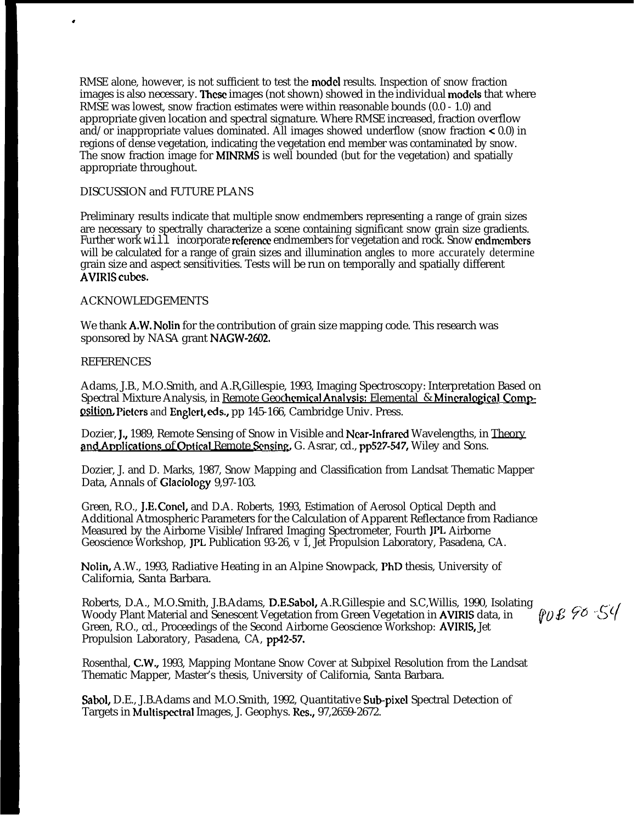RMSE alone, however, is not sufficient to test the model results. Inspection of snow fraction images is also necessary. These images (not shown) showed in the individual models that where RMSE was lowest, snow fraction estimates were within reasonable bounds (0.0 - 1.0) and appropriate given location and spectral signature. Where RMSE increased, fraction overflow and/or inappropriate values dominated. All images showed underflow (snow fraction  $\leq 0.0$ ) in regions of dense vegetation, indicating the vegetation end member was contaminated by snow. The snow fraction image for **MINRMS** is well bounded (but for the vegetation) and spatially appropriate throughout.

## DISCUSSION and FUTURE PLANS

Preliminary results indicate that multiple snow endmembers representing a range of grain sizes are necessary to spectrally characterize a scene containing significant snow grain size gradients. Further work will incorporate reference endmembers for vegetation and rock. Snow endmembers will be calculated for a range of grain sizes and illumination angles to more accurately determine grain size and aspect sensitivities. Tests will be run on temporally and spatially different AVIRIS cubes.

## ACKNOWLEDGEMENTS

We thank A.W. Nolin for the contribution of grain size mapping code. This research was sponsored by NASA grant NAGW-2602.

#### REFERENCES

,

Adams, J.B., M.O.Smith, and A.R,Gillespie, 1993, Imaging Spectroscopy: Interpretation Based on Spectral Mixture Analysis, in Remote Geochemical Analysis: Elemental & Mineralogical Composition, Pieters and Englert, eds., pp 145-166, Cambridge Univ. Press.

Dozier, J., 1989, Remote Sensing of Snow in Visible and Near-Infrared Wavelengths, in Theory and Applications of Optical Remote Sensing, G. Asrar, cd., pp527-547, Wiley and Sons.

Dozier, J. and D. Marks, 1987, Snow Mapping and Classification from Landsat Thematic Mapper Data, Annals of Glaciology 9,97-103.

Green, R.O., J.E. Conel, and D.A. Roberts, 1993, Estimation of Aerosol Optical Depth and Additional Atmospheric Parameters for the Calculation of Apparent Reflectance from Radiance Measured by the Airborne Visible/Infrared Imaging Spectrometer, Fourth JPL Airborne Geoscience Workshop, JPL Publication 93-26, v 1, Jet Propulsion Laboratory, Pasadena, CA.

Nolin, A.W., 1993, Radiative Heating in an Alpine Snowpack, PhD thesis, University of California, Santa Barbara.

Roberts, D.A., M.O.Smith, J.B.Adams, D,E.Sabol, A.R.Gillespie and S.C,Willis, 1990, Isolating Woody Plant Material and Senescent Vegetation from Green Vegetation in **AVIRIS** data, in for  $g \in S$ Green, R.O., cd., Proceedings of the Second Airborne Geoscience Workshop: AVIRIS, Jet Propulsion Laboratory, Pasadena, CA, pp42-57.

Rosenthal, C.W., 1993, Mapping Montane Snow Cover at Subpixel Resolution from the Landsat Thematic Mapper, Master's thesis, University of California, Santa Barbara.

Sabol, D.E., J.B.Adams and M.O.Smith, 1992, Quantitative Sub-pixel Spectral Detection of Targets in Multispectral Images, J. Geophys. Res., 97,2659-2672.